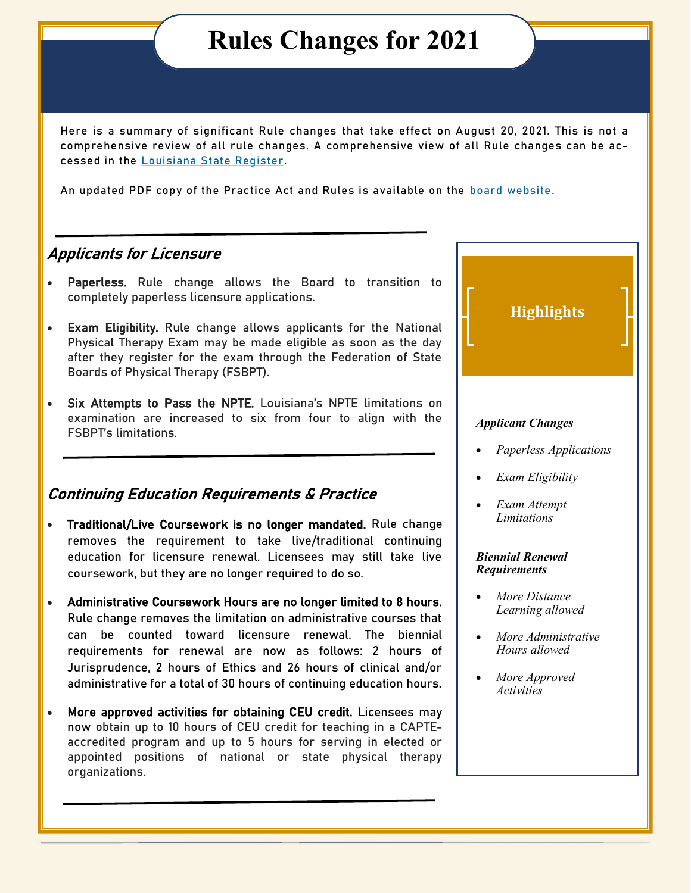## **Rules Changes for 2021**

Here is a summary of significant Rule changes that take effect on August 20, 2021. This is not a comprehensive review of all rule changes. A comprehensive view of all Rule changes can be accessed in the [Louisiana State Register.](https://www.doa.la.gov/media/mdnj2awk/2108.pdf) 

An updated PDF copy of the Practice Act and Rules is available on the [board website.](https://www.laptboard.org/assets/docs/Practice-Act-and-Rules_08-20-2021.pdf)

#### Applicants for Licensure

- Paperless. Rule change allows the Board to transition to completely paperless licensure applications.
- Exam Eligibility. Rule change allows applicants for the National Physical Therapy Exam may be made eligible as soon as the day after they register for the exam through the Federation of State Boards of Physical Therapy (FSBPT).
- Six Attempts to Pass the NPTE. Louisiana's NPTE limitations on examination are increased to six from four to align with the FSBPT's limitations.

#### Continuing Education Requirements & Practice

- Traditional/Live Coursework is no longer mandated. Rule change removes the requirement to take live/traditional continuing education for licensure renewal. Licensees may still take live coursework, but they are no longer required to do so.
- Administrative Coursework Hours are no longer limited to 8 hours. Rule change removes the limitation on administrative courses that can be counted toward licensure renewal. The biennial requirements for renewal are now as follows: 2 hours of Jurisprudence, 2 hours of Ethics and 26 hours of clinical and/or administrative for a total of 30 hours of continuing education hours.
- More approved activities for obtaining CEU credit. Licensees may now obtain up to 10 hours of CEU credit for teaching in a CAPTEaccredited program and up to 5 hours for serving in elected or appointed positions of national or state physical therapy organizations.



 *More Approved Activities*